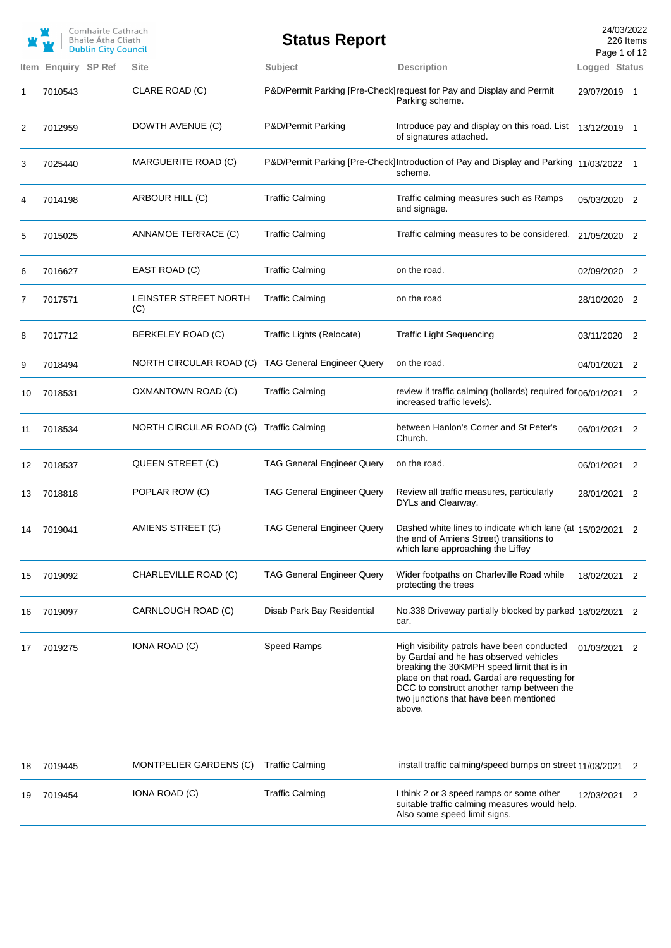|      |                | Comhairle Cathrach<br><b>Bhaile Atha Cliath</b><br><b>Dublin City Council</b> |                                                    | <b>Status Report</b>              |                                                                                                                                                                                                                                                                                       | 24/03/2022<br>Page 1 of 12 | 226 Items                  |
|------|----------------|-------------------------------------------------------------------------------|----------------------------------------------------|-----------------------------------|---------------------------------------------------------------------------------------------------------------------------------------------------------------------------------------------------------------------------------------------------------------------------------------|----------------------------|----------------------------|
| Item | Enquiry SP Ref |                                                                               | <b>Site</b>                                        | Subject                           | <b>Description</b>                                                                                                                                                                                                                                                                    | Logged Status              |                            |
| 1    | 7010543        |                                                                               | CLARE ROAD (C)                                     |                                   | P&D/Permit Parking [Pre-Check] request for Pay and Display and Permit<br>Parking scheme.                                                                                                                                                                                              | 29/07/2019 1               |                            |
| 2    | 7012959        |                                                                               | DOWTH AVENUE (C)                                   | P&D/Permit Parking                | Introduce pay and display on this road. List 13/12/2019 1<br>of signatures attached.                                                                                                                                                                                                  |                            |                            |
| 3    | 7025440        |                                                                               | MARGUERITE ROAD (C)                                |                                   | P&D/Permit Parking [Pre-Check]Introduction of Pay and Display and Parking 11/03/2022 1<br>scheme.                                                                                                                                                                                     |                            |                            |
| 4    | 7014198        |                                                                               | ARBOUR HILL (C)                                    | <b>Traffic Calming</b>            | Traffic calming measures such as Ramps<br>and signage.                                                                                                                                                                                                                                | 05/03/2020 2               |                            |
| 5    | 7015025        |                                                                               | ANNAMOE TERRACE (C)                                | <b>Traffic Calming</b>            | Traffic calming measures to be considered.                                                                                                                                                                                                                                            | 21/05/2020 2               |                            |
| 6    | 7016627        |                                                                               | EAST ROAD (C)                                      | <b>Traffic Calming</b>            | on the road.                                                                                                                                                                                                                                                                          | 02/09/2020 2               |                            |
| 7    | 7017571        |                                                                               | LEINSTER STREET NORTH<br>(C)                       | <b>Traffic Calming</b>            | on the road                                                                                                                                                                                                                                                                           | 28/10/2020 2               |                            |
| 8    | 7017712        |                                                                               | BERKELEY ROAD (C)                                  | Traffic Lights (Relocate)         | <b>Traffic Light Sequencing</b>                                                                                                                                                                                                                                                       | 03/11/2020 2               |                            |
| 9    | 7018494        |                                                                               | NORTH CIRCULAR ROAD (C) TAG General Engineer Query |                                   | on the road.                                                                                                                                                                                                                                                                          | 04/01/2021                 | $\overline{\phantom{0}}^2$ |
| 10   | 7018531        |                                                                               | OXMANTOWN ROAD (C)                                 | <b>Traffic Calming</b>            | review if traffic calming (bollards) required for 06/01/2021 2<br>increased traffic levels).                                                                                                                                                                                          |                            |                            |
| 11   | 7018534        |                                                                               | NORTH CIRCULAR ROAD (C)                            | <b>Traffic Calming</b>            | between Hanlon's Corner and St Peter's<br>Church.                                                                                                                                                                                                                                     | 06/01/2021 2               |                            |
| 12   | 7018537        |                                                                               | QUEEN STREET (C)                                   | <b>TAG General Engineer Query</b> | on the road.                                                                                                                                                                                                                                                                          | 06/01/2021 2               |                            |
| 13   | 7018818        |                                                                               | POPLAR ROW (C)                                     | <b>TAG General Engineer Query</b> | Review all traffic measures, particularly<br>DYLs and Clearway.                                                                                                                                                                                                                       | 28/01/2021 2               |                            |
| 14   | 7019041        |                                                                               | AMIENS STREET (C)                                  | <b>TAG General Engineer Query</b> | Dashed white lines to indicate which lane (at 15/02/2021 2<br>the end of Amiens Street) transitions to<br>which lane approaching the Liffey                                                                                                                                           |                            |                            |
| 15   | 7019092        |                                                                               | CHARLEVILLE ROAD (C)                               | <b>TAG General Engineer Query</b> | Wider footpaths on Charleville Road while<br>protecting the trees                                                                                                                                                                                                                     | 18/02/2021 2               |                            |
| 16   | 7019097        |                                                                               | CARNLOUGH ROAD (C)                                 | Disab Park Bay Residential        | No.338 Driveway partially blocked by parked 18/02/2021 2<br>car.                                                                                                                                                                                                                      |                            |                            |
| 17   | 7019275        |                                                                               | IONA ROAD (C)                                      | Speed Ramps                       | High visibility patrols have been conducted<br>by Gardaí and he has observed vehicles<br>breaking the 30KMPH speed limit that is in<br>place on that road. Gardaí are requesting for<br>DCC to construct another ramp between the<br>two junctions that have been mentioned<br>above. | 01/03/2021 2               |                            |
| 18   | 7019445        |                                                                               | MONTPELIER GARDENS (C)                             | <b>Traffic Calming</b>            | install traffic calming/speed bumps on street 11/03/2021 2                                                                                                                                                                                                                            |                            |                            |
| 19   | 7019454        |                                                                               | IONA ROAD (C)                                      | <b>Traffic Calming</b>            | I think 2 or 3 speed ramps or some other<br>suitable traffic calming measures would help.<br>Also some speed limit signs.                                                                                                                                                             | 12/03/2021 2               |                            |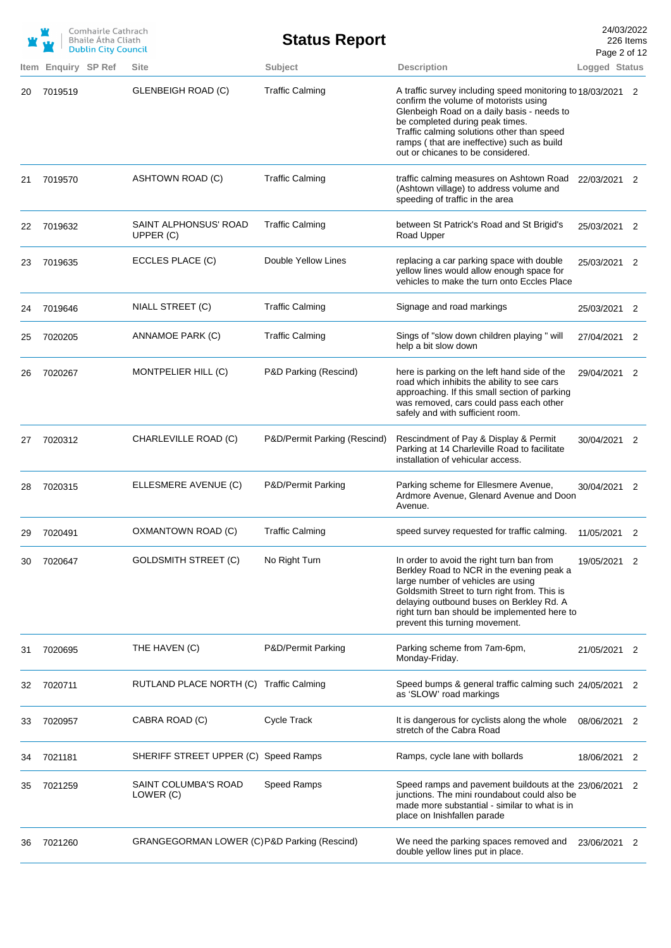|      |                | Comhairle Cathrach<br><b>Bhaile Atha Cliath</b><br><b>Dublin City Council</b> | <b>Status Report</b>         |                                                                                                                                                                                                                                                                                                                         | 24/03/2022<br>226 Items<br>Page 2 of 12 |                            |
|------|----------------|-------------------------------------------------------------------------------|------------------------------|-------------------------------------------------------------------------------------------------------------------------------------------------------------------------------------------------------------------------------------------------------------------------------------------------------------------------|-----------------------------------------|----------------------------|
| Item | Enquiry SP Ref | <b>Site</b>                                                                   | Subject                      | <b>Description</b>                                                                                                                                                                                                                                                                                                      | Logged Status                           |                            |
| 20   | 7019519        | <b>GLENBEIGH ROAD (C)</b>                                                     | <b>Traffic Calming</b>       | A traffic survey including speed monitoring to 18/03/2021 2<br>confirm the volume of motorists using<br>Glenbeigh Road on a daily basis - needs to<br>be completed during peak times.<br>Traffic calming solutions other than speed<br>ramps ( that are ineffective) such as build<br>out or chicanes to be considered. |                                         |                            |
| 21   | 7019570        | <b>ASHTOWN ROAD (C)</b>                                                       | <b>Traffic Calming</b>       | traffic calming measures on Ashtown Road<br>(Ashtown village) to address volume and<br>speeding of traffic in the area                                                                                                                                                                                                  | 22/03/2021                              | 2                          |
| 22   | 7019632        | SAINT ALPHONSUS' ROAD<br>UPPER (C)                                            | <b>Traffic Calming</b>       | between St Patrick's Road and St Brigid's<br>Road Upper                                                                                                                                                                                                                                                                 | 25/03/2021 2                            |                            |
| 23   | 7019635        | ECCLES PLACE (C)                                                              | Double Yellow Lines          | replacing a car parking space with double<br>yellow lines would allow enough space for<br>vehicles to make the turn onto Eccles Place                                                                                                                                                                                   | 25/03/2021                              | 2                          |
| 24   | 7019646        | NIALL STREET (C)                                                              | <b>Traffic Calming</b>       | Signage and road markings                                                                                                                                                                                                                                                                                               | 25/03/2021                              | 2                          |
| 25   | 7020205        | ANNAMOE PARK (C)                                                              | <b>Traffic Calming</b>       | Sings of "slow down children playing " will<br>help a bit slow down                                                                                                                                                                                                                                                     | 27/04/2021                              | 2                          |
| 26   | 7020267        | MONTPELIER HILL (C)                                                           | P&D Parking (Rescind)        | here is parking on the left hand side of the<br>road which inhibits the ability to see cars<br>approaching. If this small section of parking<br>was removed, cars could pass each other<br>safely and with sufficient room.                                                                                             | 29/04/2021 2                            |                            |
| 27   | 7020312        | CHARLEVILLE ROAD (C)                                                          | P&D/Permit Parking (Rescind) | Rescindment of Pay & Display & Permit<br>Parking at 14 Charleville Road to facilitate<br>installation of vehicular access.                                                                                                                                                                                              | 30/04/2021 2                            |                            |
| 28   | 7020315        | ELLESMERE AVENUE (C)                                                          | P&D/Permit Parking           | Parking scheme for Ellesmere Avenue,<br>Ardmore Avenue, Glenard Avenue and Doon<br>Avenue.                                                                                                                                                                                                                              | 30/04/2021 2                            |                            |
| 29   | 7020491        | OXMANTOWN ROAD (C)                                                            | <b>Traffic Calming</b>       | speed survey requested for traffic calming.                                                                                                                                                                                                                                                                             | 11/05/2021                              | $\overline{\phantom{0}}^2$ |
| 30   | 7020647        | <b>GOLDSMITH STREET (C)</b>                                                   | No Right Turn                | In order to avoid the right turn ban from<br>Berkley Road to NCR in the evening peak a<br>large number of vehicles are using<br>Goldsmith Street to turn right from. This is<br>delaying outbound buses on Berkley Rd. A<br>right turn ban should be implemented here to<br>prevent this turning movement.              | 19/05/2021                              | 2                          |
| 31   | 7020695        | THE HAVEN (C)                                                                 | P&D/Permit Parking           | Parking scheme from 7am-6pm,<br>Monday-Friday.                                                                                                                                                                                                                                                                          | 21/05/2021 2                            |                            |
| 32   | 7020711        | RUTLAND PLACE NORTH (C) Traffic Calming                                       |                              | Speed bumps & general traffic calming such 24/05/2021 2<br>as 'SLOW' road markings                                                                                                                                                                                                                                      |                                         |                            |
| 33   | 7020957        | CABRA ROAD (C)                                                                | <b>Cycle Track</b>           | It is dangerous for cyclists along the whole<br>stretch of the Cabra Road                                                                                                                                                                                                                                               | 08/06/2021                              | 2                          |
| 34   | 7021181        | SHERIFF STREET UPPER (C) Speed Ramps                                          |                              | Ramps, cycle lane with bollards                                                                                                                                                                                                                                                                                         | 18/06/2021                              | 2                          |
| 35   | 7021259        | SAINT COLUMBA'S ROAD<br>LOWER (C)                                             | Speed Ramps                  | Speed ramps and pavement buildouts at the 23/06/2021 2<br>junctions. The mini roundabout could also be<br>made more substantial - similar to what is in<br>place on Inishfallen parade                                                                                                                                  |                                         |                            |
| 36   | 7021260        | GRANGEGORMAN LOWER (C) P&D Parking (Rescind)                                  |                              | We need the parking spaces removed and<br>double yellow lines put in place.                                                                                                                                                                                                                                             | 23/06/2021                              | 2                          |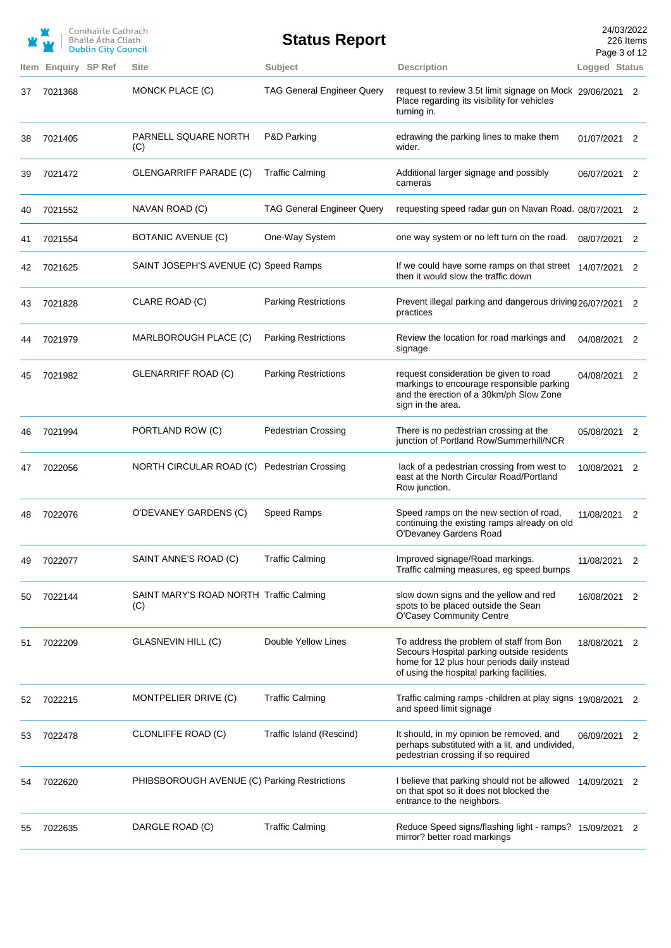|    |                            | Comhairle Cathrach<br>Bhaile Átha Cliath<br><b>Dublin City Council</b> | <b>Status Report</b>              |                                                                                                                                                                                    | 24/03/2022<br>Page 3 of 12 | 226 Items                  |
|----|----------------------------|------------------------------------------------------------------------|-----------------------------------|------------------------------------------------------------------------------------------------------------------------------------------------------------------------------------|----------------------------|----------------------------|
|    | <b>Item Enguiry SP Ref</b> | <b>Site</b>                                                            | Subject                           | <b>Description</b>                                                                                                                                                                 | Logged Status              |                            |
| 37 | 7021368                    | MONCK PLACE (C)                                                        | <b>TAG General Engineer Query</b> | request to review 3.5t limit signage on Mock 29/06/2021 2<br>Place regarding its visibility for vehicles<br>turning in.                                                            |                            |                            |
| 38 | 7021405                    | PARNELL SQUARE NORTH<br>(C)                                            | P&D Parking                       | edrawing the parking lines to make them<br>wider.                                                                                                                                  | 01/07/2021 2               |                            |
| 39 | 7021472                    | GLENGARRIFF PARADE (C)                                                 | <b>Traffic Calming</b>            | Additional larger signage and possibly<br>cameras                                                                                                                                  | 06/07/2021 2               |                            |
| 40 | 7021552                    | NAVAN ROAD (C)                                                         | <b>TAG General Engineer Query</b> | requesting speed radar gun on Navan Road. 08/07/2021                                                                                                                               |                            | 2                          |
| 41 | 7021554                    | BOTANIC AVENUE (C)                                                     | One-Way System                    | one way system or no left turn on the road.                                                                                                                                        | 08/07/2021                 | - 2                        |
| 42 | 7021625                    | SAINT JOSEPH'S AVENUE (C) Speed Ramps                                  |                                   | If we could have some ramps on that street 14/07/2021 2<br>then it would slow the traffic down                                                                                     |                            |                            |
| 43 | 7021828                    | CLARE ROAD (C)                                                         | <b>Parking Restrictions</b>       | Prevent illegal parking and dangerous driving 26/07/2021 2<br>practices                                                                                                            |                            |                            |
| 44 | 7021979                    | MARLBOROUGH PLACE (C)                                                  | <b>Parking Restrictions</b>       | Review the location for road markings and<br>signage                                                                                                                               | 04/08/2021 2               |                            |
| 45 | 7021982                    | <b>GLENARRIFF ROAD (C)</b>                                             | <b>Parking Restrictions</b>       | request consideration be given to road<br>markings to encourage responsible parking<br>and the erection of a 30km/ph Slow Zone<br>sign in the area.                                | 04/08/2021 2               |                            |
| 46 | 7021994                    | PORTLAND ROW (C)                                                       | <b>Pedestrian Crossing</b>        | There is no pedestrian crossing at the<br>junction of Portland Row/Summerhill/NCR                                                                                                  | 05/08/2021                 | 2                          |
| 47 | 7022056                    | NORTH CIRCULAR ROAD (C)                                                | <b>Pedestrian Crossing</b>        | lack of a pedestrian crossing from west to<br>east at the North Circular Road/Portland<br>Row junction.                                                                            | 10/08/2021                 | $\overline{\phantom{0}}^2$ |
| 48 | 7022076                    | O'DEVANEY GARDENS (C)                                                  | <b>Speed Ramps</b>                | Speed ramps on the new section of road,<br>continuing the existing ramps already on old<br>O'Devaney Gardens Road                                                                  | 11/08/2021                 | 2                          |
| 49 | 7022077                    | SAINT ANNE'S ROAD (C)                                                  | <b>Traffic Calming</b>            | Improved signage/Road markings.<br>Traffic calming measures, eg speed bumps                                                                                                        | 11/08/2021                 | 2                          |
| 50 | 7022144                    | SAINT MARY'S ROAD NORTH Traffic Calming<br>(C)                         |                                   | slow down signs and the yellow and red<br>spots to be placed outside the Sean<br>O'Casey Community Centre                                                                          | 16/08/2021 2               |                            |
| 51 | 7022209                    | GLASNEVIN HILL (C)                                                     | Double Yellow Lines               | To address the problem of staff from Bon<br>Secours Hospital parking outside residents<br>home for 12 plus hour periods daily instead<br>of using the hospital parking facilities. | 18/08/2021                 | 2                          |
| 52 | 7022215                    | MONTPELIER DRIVE (C)                                                   | <b>Traffic Calming</b>            | Traffic calming ramps -children at play signs 19/08/2021 2<br>and speed limit signage                                                                                              |                            |                            |
| 53 | 7022478                    | CLONLIFFE ROAD (C)                                                     | Traffic Island (Rescind)          | It should, in my opinion be removed, and<br>perhaps substituted with a lit, and undivided,<br>pedestrian crossing if so required                                                   | 06/09/2021                 | $\overline{\phantom{0}}^2$ |
| 54 | 7022620                    | PHIBSBOROUGH AVENUE (C) Parking Restrictions                           |                                   | I believe that parking should not be allowed<br>on that spot so it does not blocked the<br>entrance to the neighbors.                                                              | 14/09/2021                 | 2                          |
| 55 | 7022635                    | DARGLE ROAD (C)                                                        | <b>Traffic Calming</b>            | Reduce Speed signs/flashing light - ramps? 15/09/2021 2<br>mirror? better road markings                                                                                            |                            |                            |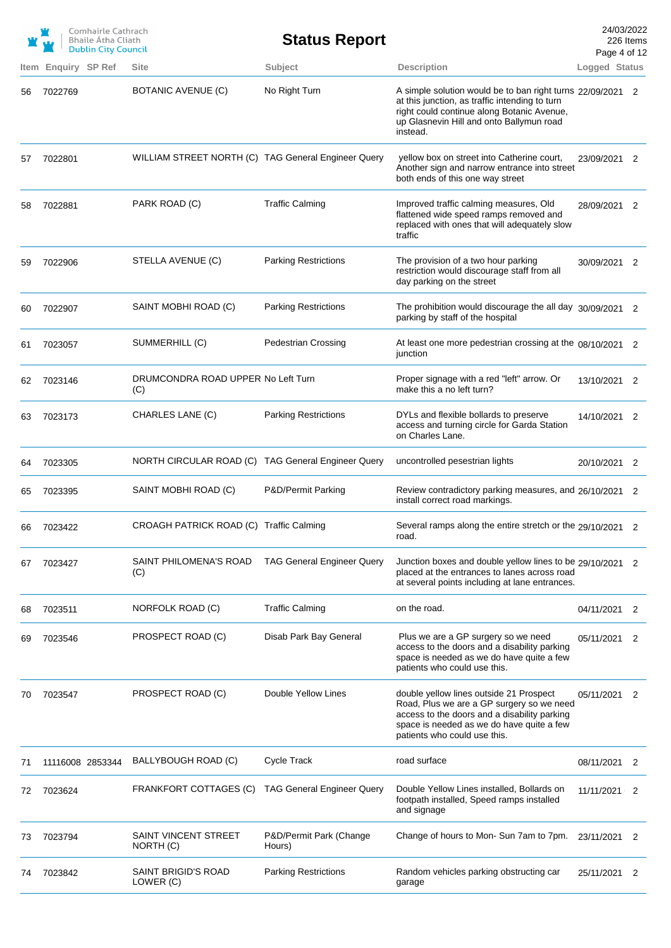|      |                  | Comhairle Cathrach<br><b>Bhaile Atha Cliath</b><br><b>Dublin City Council</b> |                                                     | <b>Status Report</b>              |                                                                                                                                                                                                                    | 24/03/2022<br>226 Items<br>Page 4 of 12 |   |
|------|------------------|-------------------------------------------------------------------------------|-----------------------------------------------------|-----------------------------------|--------------------------------------------------------------------------------------------------------------------------------------------------------------------------------------------------------------------|-----------------------------------------|---|
| Item | Enquiry SP Ref   |                                                                               | <b>Site</b>                                         | Subject                           | <b>Description</b>                                                                                                                                                                                                 | Logged Status                           |   |
| 56   | 7022769          |                                                                               | BOTANIC AVENUE (C)                                  | No Right Turn                     | A simple solution would be to ban right turns 22/09/2021 2<br>at this junction, as traffic intending to turn<br>right could continue along Botanic Avenue,<br>up Glasnevin Hill and onto Ballymun road<br>instead. |                                         |   |
| 57   | 7022801          |                                                                               | WILLIAM STREET NORTH (C) TAG General Engineer Query |                                   | yellow box on street into Catherine court,<br>Another sign and narrow entrance into street<br>both ends of this one way street                                                                                     | 23/09/2021 2                            |   |
| 58   | 7022881          |                                                                               | PARK ROAD (C)                                       | <b>Traffic Calming</b>            | Improved traffic calming measures, Old<br>flattened wide speed ramps removed and<br>replaced with ones that will adequately slow<br>traffic                                                                        | 28/09/2021 2                            |   |
| 59   | 7022906          |                                                                               | STELLA AVENUE (C)                                   | <b>Parking Restrictions</b>       | The provision of a two hour parking<br>restriction would discourage staff from all<br>day parking on the street                                                                                                    | 30/09/2021                              | 2 |
| 60   | 7022907          |                                                                               | SAINT MOBHI ROAD (C)                                | <b>Parking Restrictions</b>       | The prohibition would discourage the all day 30/09/2021<br>parking by staff of the hospital                                                                                                                        |                                         | 2 |
| 61   | 7023057          |                                                                               | SUMMERHILL (C)                                      | <b>Pedestrian Crossing</b>        | At least one more pedestrian crossing at the 08/10/2021 2<br>junction                                                                                                                                              |                                         |   |
| 62   | 7023146          |                                                                               | DRUMCONDRA ROAD UPPER No Left Turn<br>(C)           |                                   | Proper signage with a red "left" arrow. Or<br>make this a no left turn?                                                                                                                                            | 13/10/2021 2                            |   |
| 63   | 7023173          |                                                                               | CHARLES LANE (C)                                    | <b>Parking Restrictions</b>       | DYLs and flexible bollards to preserve<br>access and turning circle for Garda Station<br>on Charles Lane.                                                                                                          | 14/10/2021 2                            |   |
| 64   | 7023305          |                                                                               | NORTH CIRCULAR ROAD (C) TAG General Engineer Query  |                                   | uncontrolled pesestrian lights                                                                                                                                                                                     | 20/10/2021 2                            |   |
| 65   | 7023395          |                                                                               | SAINT MOBHI ROAD (C)                                | P&D/Permit Parking                | Review contradictory parking measures, and 26/10/2021 2<br>install correct road markings.                                                                                                                          |                                         |   |
| 66   | 7023422          |                                                                               | CROAGH PATRICK ROAD (C) Traffic Calming             |                                   | Several ramps along the entire stretch or the 29/10/2021 2<br>road.                                                                                                                                                |                                         |   |
| 67   | 7023427          |                                                                               | SAINT PHILOMENA'S ROAD<br>(C)                       | <b>TAG General Engineer Query</b> | Junction boxes and double yellow lines to be 29/10/2021<br>placed at the entrances to lanes across road<br>at several points including at lane entrances.                                                          |                                         | 2 |
| 68   | 7023511          |                                                                               | NORFOLK ROAD (C)                                    | <b>Traffic Calming</b>            | on the road.                                                                                                                                                                                                       | 04/11/2021                              | 2 |
| 69   | 7023546          |                                                                               | PROSPECT ROAD (C)                                   | Disab Park Bay General            | Plus we are a GP surgery so we need<br>access to the doors and a disability parking<br>space is needed as we do have quite a few<br>patients who could use this.                                                   | 05/11/2021 2                            |   |
| 70   | 7023547          |                                                                               | PROSPECT ROAD (C)                                   | Double Yellow Lines               | double yellow lines outside 21 Prospect<br>Road, Plus we are a GP surgery so we need<br>access to the doors and a disability parking<br>space is needed as we do have quite a few<br>patients who could use this.  | 05/11/2021                              | 2 |
| 71   | 11116008 2853344 |                                                                               | BALLYBOUGH ROAD (C)                                 | Cycle Track                       | road surface                                                                                                                                                                                                       | 08/11/2021 2                            |   |
| 72   | 7023624          |                                                                               | FRANKFORT COTTAGES (C)                              | <b>TAG General Engineer Query</b> | Double Yellow Lines installed, Bollards on<br>footpath installed, Speed ramps installed<br>and signage                                                                                                             | 11/11/2021 2                            |   |
| 73   | 7023794          |                                                                               | SAINT VINCENT STREET<br>NORTH (C)                   | P&D/Permit Park (Change<br>Hours) | Change of hours to Mon-Sun 7am to 7pm.                                                                                                                                                                             | 23/11/2021 2                            |   |
| 74   | 7023842          |                                                                               | SAINT BRIGID'S ROAD<br>LOWER (C)                    | <b>Parking Restrictions</b>       | Random vehicles parking obstructing car<br>garage                                                                                                                                                                  | 25/11/2021 2                            |   |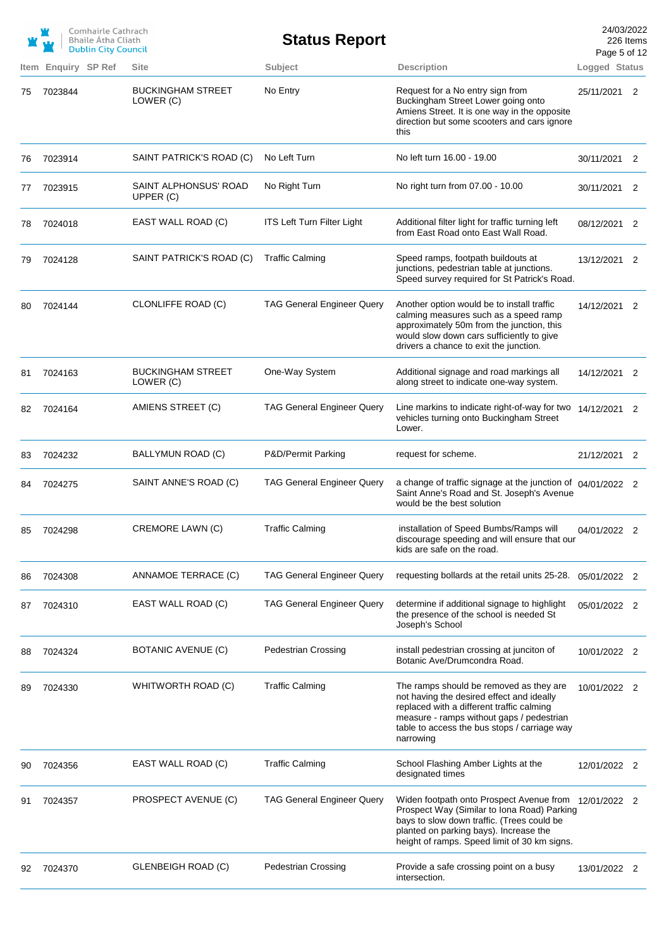|    |                     | Comhairle Cathrach<br><b>Bhaile Atha Cliath</b><br><b>Dublin City Council</b> |                                       | <b>Status Report</b>              |                                                                                                                                                                                                                                              | Page 5 of 12  | 24/03/2022<br>226 Items |
|----|---------------------|-------------------------------------------------------------------------------|---------------------------------------|-----------------------------------|----------------------------------------------------------------------------------------------------------------------------------------------------------------------------------------------------------------------------------------------|---------------|-------------------------|
|    | Item Enquiry SP Ref |                                                                               | <b>Site</b>                           | Subject                           | <b>Description</b>                                                                                                                                                                                                                           | Logged Status |                         |
| 75 | 7023844             |                                                                               | <b>BUCKINGHAM STREET</b><br>LOWER (C) | No Entry                          | Request for a No entry sign from<br>Buckingham Street Lower going onto<br>Amiens Street. It is one way in the opposite<br>direction but some scooters and cars ignore<br>this                                                                | 25/11/2021 2  |                         |
| 76 | 7023914             |                                                                               | SAINT PATRICK'S ROAD (C)              | No Left Turn                      | No left turn 16.00 - 19.00                                                                                                                                                                                                                   | 30/11/2021 2  |                         |
| 77 | 7023915             |                                                                               | SAINT ALPHONSUS' ROAD<br>UPPER (C)    | No Right Turn                     | No right turn from 07.00 - 10.00                                                                                                                                                                                                             | 30/11/2021 2  |                         |
| 78 | 7024018             |                                                                               | EAST WALL ROAD (C)                    | ITS Left Turn Filter Light        | Additional filter light for traffic turning left<br>from East Road onto East Wall Road.                                                                                                                                                      | 08/12/2021 2  |                         |
| 79 | 7024128             |                                                                               | SAINT PATRICK'S ROAD (C)              | <b>Traffic Calming</b>            | Speed ramps, footpath buildouts at<br>junctions, pedestrian table at junctions.<br>Speed survey required for St Patrick's Road.                                                                                                              | 13/12/2021 2  |                         |
| 80 | 7024144             |                                                                               | CLONLIFFE ROAD (C)                    | <b>TAG General Engineer Query</b> | Another option would be to install traffic<br>calming measures such as a speed ramp<br>approximately 50m from the junction, this<br>would slow down cars sufficiently to give<br>drivers a chance to exit the junction.                      | 14/12/2021 2  |                         |
| 81 | 7024163             |                                                                               | <b>BUCKINGHAM STREET</b><br>LOWER (C) | One-Way System                    | Additional signage and road markings all<br>along street to indicate one-way system.                                                                                                                                                         | 14/12/2021 2  |                         |
| 82 | 7024164             |                                                                               | AMIENS STREET (C)                     | <b>TAG General Engineer Query</b> | Line markins to indicate right-of-way for two<br>vehicles turning onto Buckingham Street<br>Lower.                                                                                                                                           | 14/12/2021 2  |                         |
| 83 | 7024232             |                                                                               | BALLYMUN ROAD (C)                     | P&D/Permit Parking                | request for scheme.                                                                                                                                                                                                                          | 21/12/2021 2  |                         |
| 84 | 7024275             |                                                                               | SAINT ANNE'S ROAD (C)                 | <b>TAG General Engineer Query</b> | a change of traffic signage at the junction of $04/01/2022$ 2<br>Saint Anne's Road and St. Joseph's Avenue<br>would be the best solution                                                                                                     |               |                         |
|    | 85 7024298          |                                                                               | CREMORE LAWN (C)                      | <b>Traffic Calming</b>            | installation of Speed Bumbs/Ramps will<br>discourage speeding and will ensure that our<br>kids are safe on the road.                                                                                                                         | 04/01/2022    |                         |
| 86 | 7024308             |                                                                               | ANNAMOE TERRACE (C)                   | <b>TAG General Engineer Query</b> | requesting bollards at the retail units 25-28.                                                                                                                                                                                               | 05/01/2022 2  |                         |
| 87 | 7024310             |                                                                               | EAST WALL ROAD (C)                    | <b>TAG General Engineer Query</b> | determine if additional signage to highlight<br>the presence of the school is needed St<br>Joseph's School                                                                                                                                   | 05/01/2022 2  |                         |
| 88 | 7024324             |                                                                               | BOTANIC AVENUE (C)                    | <b>Pedestrian Crossing</b>        | install pedestrian crossing at junciton of<br>Botanic Ave/Drumcondra Road.                                                                                                                                                                   | 10/01/2022 2  |                         |
| 89 | 7024330             |                                                                               | WHITWORTH ROAD (C)                    | <b>Traffic Calming</b>            | The ramps should be removed as they are<br>not having the desired effect and ideally<br>replaced with a different traffic calming<br>measure - ramps without gaps / pedestrian<br>table to access the bus stops / carriage way<br>narrowing  | 10/01/2022 2  |                         |
| 90 | 7024356             |                                                                               | EAST WALL ROAD (C)                    | <b>Traffic Calming</b>            | School Flashing Amber Lights at the<br>designated times                                                                                                                                                                                      | 12/01/2022 2  |                         |
| 91 | 7024357             |                                                                               | PROSPECT AVENUE (C)                   | <b>TAG General Engineer Query</b> | Widen footpath onto Prospect Avenue from 12/01/2022 2<br>Prospect Way (Similar to Iona Road) Parking<br>bays to slow down traffic. (Trees could be<br>planted on parking bays). Increase the<br>height of ramps. Speed limit of 30 km signs. |               |                         |
| 92 | 7024370             |                                                                               | <b>GLENBEIGH ROAD (C)</b>             | <b>Pedestrian Crossing</b>        | Provide a safe crossing point on a busy<br>intersection.                                                                                                                                                                                     | 13/01/2022 2  |                         |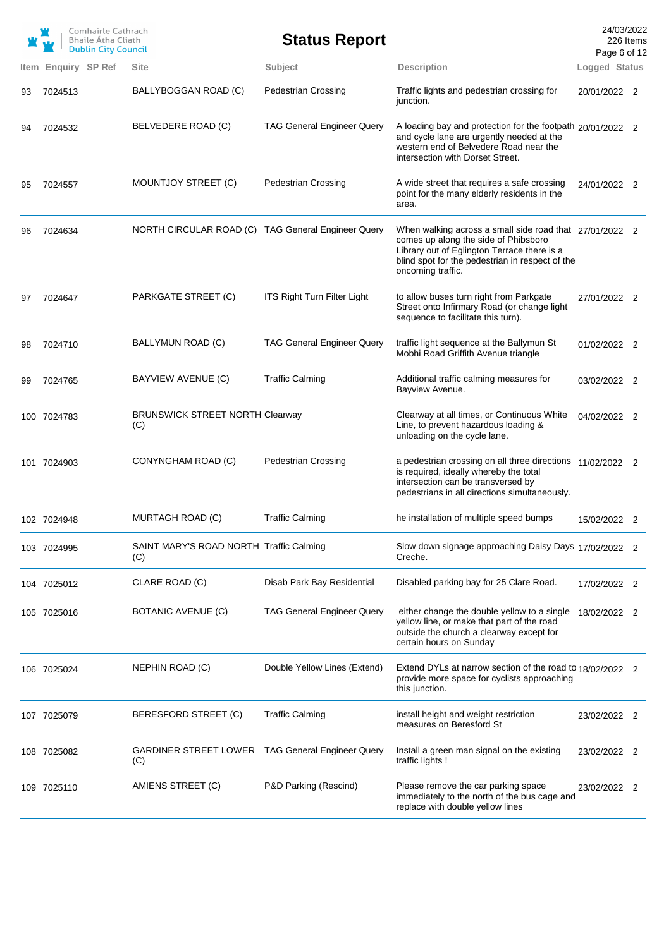| Enquiry SP Ref<br><b>Site</b><br>Subject<br><b>Description</b><br>Item<br>BALLYBOGGAN ROAD (C)<br><b>Pedestrian Crossing</b><br>Traffic lights and pedestrian crossing for<br>7024513<br>93<br>junction.<br>BELVEDERE ROAD (C)<br><b>TAG General Engineer Query</b><br>A loading bay and protection for the footpath 20/01/2022 2<br>7024532<br>94<br>and cycle lane are urgently needed at the<br>western end of Belvedere Road near the<br>intersection with Dorset Street.<br>MOUNTJOY STREET (C)<br><b>Pedestrian Crossing</b><br>A wide street that requires a safe crossing<br>7024557<br>95<br>point for the many elderly residents in the<br>area.<br>NORTH CIRCULAR ROAD (C) TAG General Engineer Query<br>When walking across a small side road that 27/01/2022 2<br>7024634<br>96<br>comes up along the side of Phibsboro<br>Library out of Eglington Terrace there is a<br>blind spot for the pedestrian in respect of the<br>oncoming traffic.<br>ITS Right Turn Filter Light<br>PARKGATE STREET (C)<br>to allow buses turn right from Parkgate<br>7024647<br>97<br>Street onto Infirmary Road (or change light<br>sequence to facilitate this turn).<br><b>TAG General Engineer Query</b><br>BALLYMUN ROAD (C)<br>traffic light sequence at the Ballymun St<br>7024710<br>98<br>Mobhi Road Griffith Avenue triangle<br>BAYVIEW AVENUE (C)<br><b>Traffic Calming</b><br>Additional traffic calming measures for<br>7024765<br>99<br>Bayview Avenue.<br>Clearway at all times, or Continuous White<br><b>BRUNSWICK STREET NORTH Clearway</b><br>100 7024783<br>Line, to prevent hazardous loading &<br>(C)<br>unloading on the cycle lane.<br><b>Pedestrian Crossing</b><br>CONYNGHAM ROAD (C)<br>a pedestrian crossing on all three directions 11/02/2022 2<br>101 7024903<br>is required, ideally whereby the total<br>intersection can be transversed by<br>pedestrians in all directions simultaneously.<br>MURTAGH ROAD (C)<br><b>Traffic Calming</b><br>he installation of multiple speed bumps<br>102 7024948<br>SAINT MARY'S ROAD NORTH Traffic Calming<br>Slow down signage approaching Daisy Days 17/02/2022 2<br>103 7024995<br>Creche.<br>(C)<br>CLARE ROAD (C)<br>Disab Park Bay Residential<br>Disabled parking bay for 25 Clare Road.<br>104 7025012<br>BOTANIC AVENUE (C)<br><b>TAG General Engineer Query</b><br>either change the double yellow to a single<br>105 7025016<br>yellow line, or make that part of the road<br>outside the church a clearway except for<br>certain hours on Sunday<br>NEPHIN ROAD (C)<br>Double Yellow Lines (Extend)<br>Extend DYLs at narrow section of the road to 18/02/2022 2<br>106 7025024<br>provide more space for cyclists approaching<br>this junction.<br>BERESFORD STREET (C)<br><b>Traffic Calming</b><br>install height and weight restriction<br>107 7025079<br>measures on Beresford St<br>GARDINER STREET LOWER TAG General Engineer Query<br>Install a green man signal on the existing<br>108 7025082<br>traffic lights!<br>(C)<br>AMIENS STREET (C)<br>P&D Parking (Rescind)<br>Please remove the car parking space<br>109 7025110<br>immediately to the north of the bus cage and<br>replace with double yellow lines |  | Comhairle Cathrach<br><b>Bhaile Atha Cliath</b><br><b>Dublin City Council</b> | <b>Status Report</b> | 24/03/2022<br>Page 6 of 12 | 226 Items |
|--------------------------------------------------------------------------------------------------------------------------------------------------------------------------------------------------------------------------------------------------------------------------------------------------------------------------------------------------------------------------------------------------------------------------------------------------------------------------------------------------------------------------------------------------------------------------------------------------------------------------------------------------------------------------------------------------------------------------------------------------------------------------------------------------------------------------------------------------------------------------------------------------------------------------------------------------------------------------------------------------------------------------------------------------------------------------------------------------------------------------------------------------------------------------------------------------------------------------------------------------------------------------------------------------------------------------------------------------------------------------------------------------------------------------------------------------------------------------------------------------------------------------------------------------------------------------------------------------------------------------------------------------------------------------------------------------------------------------------------------------------------------------------------------------------------------------------------------------------------------------------------------------------------------------------------------------------------------------------------------------------------------------------------------------------------------------------------------------------------------------------------------------------------------------------------------------------------------------------------------------------------------------------------------------------------------------------------------------------------------------------------------------------------------------------------------------------------------------------------------------------------------------------------------------------------------------------------------------------------------------------------------------------------------------------------------------------------------------------------------------------------------------------------------------------------------------------------------------------------------------------------------------------------------------------------------------------------------------------------------------------------------------------------------------------------------------------------------------------------------------------------------------------------------------------------------------------|--|-------------------------------------------------------------------------------|----------------------|----------------------------|-----------|
|                                                                                                                                                                                                                                                                                                                                                                                                                                                                                                                                                                                                                                                                                                                                                                                                                                                                                                                                                                                                                                                                                                                                                                                                                                                                                                                                                                                                                                                                                                                                                                                                                                                                                                                                                                                                                                                                                                                                                                                                                                                                                                                                                                                                                                                                                                                                                                                                                                                                                                                                                                                                                                                                                                                                                                                                                                                                                                                                                                                                                                                                                                                                                                                                        |  |                                                                               |                      | Logged Status              |           |
|                                                                                                                                                                                                                                                                                                                                                                                                                                                                                                                                                                                                                                                                                                                                                                                                                                                                                                                                                                                                                                                                                                                                                                                                                                                                                                                                                                                                                                                                                                                                                                                                                                                                                                                                                                                                                                                                                                                                                                                                                                                                                                                                                                                                                                                                                                                                                                                                                                                                                                                                                                                                                                                                                                                                                                                                                                                                                                                                                                                                                                                                                                                                                                                                        |  |                                                                               |                      | 20/01/2022 2               |           |
|                                                                                                                                                                                                                                                                                                                                                                                                                                                                                                                                                                                                                                                                                                                                                                                                                                                                                                                                                                                                                                                                                                                                                                                                                                                                                                                                                                                                                                                                                                                                                                                                                                                                                                                                                                                                                                                                                                                                                                                                                                                                                                                                                                                                                                                                                                                                                                                                                                                                                                                                                                                                                                                                                                                                                                                                                                                                                                                                                                                                                                                                                                                                                                                                        |  |                                                                               |                      |                            |           |
|                                                                                                                                                                                                                                                                                                                                                                                                                                                                                                                                                                                                                                                                                                                                                                                                                                                                                                                                                                                                                                                                                                                                                                                                                                                                                                                                                                                                                                                                                                                                                                                                                                                                                                                                                                                                                                                                                                                                                                                                                                                                                                                                                                                                                                                                                                                                                                                                                                                                                                                                                                                                                                                                                                                                                                                                                                                                                                                                                                                                                                                                                                                                                                                                        |  |                                                                               |                      | 24/01/2022 2               |           |
|                                                                                                                                                                                                                                                                                                                                                                                                                                                                                                                                                                                                                                                                                                                                                                                                                                                                                                                                                                                                                                                                                                                                                                                                                                                                                                                                                                                                                                                                                                                                                                                                                                                                                                                                                                                                                                                                                                                                                                                                                                                                                                                                                                                                                                                                                                                                                                                                                                                                                                                                                                                                                                                                                                                                                                                                                                                                                                                                                                                                                                                                                                                                                                                                        |  |                                                                               |                      |                            |           |
|                                                                                                                                                                                                                                                                                                                                                                                                                                                                                                                                                                                                                                                                                                                                                                                                                                                                                                                                                                                                                                                                                                                                                                                                                                                                                                                                                                                                                                                                                                                                                                                                                                                                                                                                                                                                                                                                                                                                                                                                                                                                                                                                                                                                                                                                                                                                                                                                                                                                                                                                                                                                                                                                                                                                                                                                                                                                                                                                                                                                                                                                                                                                                                                                        |  |                                                                               |                      | 27/01/2022 2               |           |
|                                                                                                                                                                                                                                                                                                                                                                                                                                                                                                                                                                                                                                                                                                                                                                                                                                                                                                                                                                                                                                                                                                                                                                                                                                                                                                                                                                                                                                                                                                                                                                                                                                                                                                                                                                                                                                                                                                                                                                                                                                                                                                                                                                                                                                                                                                                                                                                                                                                                                                                                                                                                                                                                                                                                                                                                                                                                                                                                                                                                                                                                                                                                                                                                        |  |                                                                               |                      | 01/02/2022 2               |           |
|                                                                                                                                                                                                                                                                                                                                                                                                                                                                                                                                                                                                                                                                                                                                                                                                                                                                                                                                                                                                                                                                                                                                                                                                                                                                                                                                                                                                                                                                                                                                                                                                                                                                                                                                                                                                                                                                                                                                                                                                                                                                                                                                                                                                                                                                                                                                                                                                                                                                                                                                                                                                                                                                                                                                                                                                                                                                                                                                                                                                                                                                                                                                                                                                        |  |                                                                               |                      | 03/02/2022 2               |           |
|                                                                                                                                                                                                                                                                                                                                                                                                                                                                                                                                                                                                                                                                                                                                                                                                                                                                                                                                                                                                                                                                                                                                                                                                                                                                                                                                                                                                                                                                                                                                                                                                                                                                                                                                                                                                                                                                                                                                                                                                                                                                                                                                                                                                                                                                                                                                                                                                                                                                                                                                                                                                                                                                                                                                                                                                                                                                                                                                                                                                                                                                                                                                                                                                        |  |                                                                               |                      | 04/02/2022 2               |           |
|                                                                                                                                                                                                                                                                                                                                                                                                                                                                                                                                                                                                                                                                                                                                                                                                                                                                                                                                                                                                                                                                                                                                                                                                                                                                                                                                                                                                                                                                                                                                                                                                                                                                                                                                                                                                                                                                                                                                                                                                                                                                                                                                                                                                                                                                                                                                                                                                                                                                                                                                                                                                                                                                                                                                                                                                                                                                                                                                                                                                                                                                                                                                                                                                        |  |                                                                               |                      |                            |           |
|                                                                                                                                                                                                                                                                                                                                                                                                                                                                                                                                                                                                                                                                                                                                                                                                                                                                                                                                                                                                                                                                                                                                                                                                                                                                                                                                                                                                                                                                                                                                                                                                                                                                                                                                                                                                                                                                                                                                                                                                                                                                                                                                                                                                                                                                                                                                                                                                                                                                                                                                                                                                                                                                                                                                                                                                                                                                                                                                                                                                                                                                                                                                                                                                        |  |                                                                               |                      | 15/02/2022 2               |           |
|                                                                                                                                                                                                                                                                                                                                                                                                                                                                                                                                                                                                                                                                                                                                                                                                                                                                                                                                                                                                                                                                                                                                                                                                                                                                                                                                                                                                                                                                                                                                                                                                                                                                                                                                                                                                                                                                                                                                                                                                                                                                                                                                                                                                                                                                                                                                                                                                                                                                                                                                                                                                                                                                                                                                                                                                                                                                                                                                                                                                                                                                                                                                                                                                        |  |                                                                               |                      |                            |           |
|                                                                                                                                                                                                                                                                                                                                                                                                                                                                                                                                                                                                                                                                                                                                                                                                                                                                                                                                                                                                                                                                                                                                                                                                                                                                                                                                                                                                                                                                                                                                                                                                                                                                                                                                                                                                                                                                                                                                                                                                                                                                                                                                                                                                                                                                                                                                                                                                                                                                                                                                                                                                                                                                                                                                                                                                                                                                                                                                                                                                                                                                                                                                                                                                        |  |                                                                               |                      | 17/02/2022 2               |           |
|                                                                                                                                                                                                                                                                                                                                                                                                                                                                                                                                                                                                                                                                                                                                                                                                                                                                                                                                                                                                                                                                                                                                                                                                                                                                                                                                                                                                                                                                                                                                                                                                                                                                                                                                                                                                                                                                                                                                                                                                                                                                                                                                                                                                                                                                                                                                                                                                                                                                                                                                                                                                                                                                                                                                                                                                                                                                                                                                                                                                                                                                                                                                                                                                        |  |                                                                               |                      | 18/02/2022 2               |           |
|                                                                                                                                                                                                                                                                                                                                                                                                                                                                                                                                                                                                                                                                                                                                                                                                                                                                                                                                                                                                                                                                                                                                                                                                                                                                                                                                                                                                                                                                                                                                                                                                                                                                                                                                                                                                                                                                                                                                                                                                                                                                                                                                                                                                                                                                                                                                                                                                                                                                                                                                                                                                                                                                                                                                                                                                                                                                                                                                                                                                                                                                                                                                                                                                        |  |                                                                               |                      |                            |           |
|                                                                                                                                                                                                                                                                                                                                                                                                                                                                                                                                                                                                                                                                                                                                                                                                                                                                                                                                                                                                                                                                                                                                                                                                                                                                                                                                                                                                                                                                                                                                                                                                                                                                                                                                                                                                                                                                                                                                                                                                                                                                                                                                                                                                                                                                                                                                                                                                                                                                                                                                                                                                                                                                                                                                                                                                                                                                                                                                                                                                                                                                                                                                                                                                        |  |                                                                               |                      | 23/02/2022 2               |           |
|                                                                                                                                                                                                                                                                                                                                                                                                                                                                                                                                                                                                                                                                                                                                                                                                                                                                                                                                                                                                                                                                                                                                                                                                                                                                                                                                                                                                                                                                                                                                                                                                                                                                                                                                                                                                                                                                                                                                                                                                                                                                                                                                                                                                                                                                                                                                                                                                                                                                                                                                                                                                                                                                                                                                                                                                                                                                                                                                                                                                                                                                                                                                                                                                        |  |                                                                               |                      | 23/02/2022 2               |           |
|                                                                                                                                                                                                                                                                                                                                                                                                                                                                                                                                                                                                                                                                                                                                                                                                                                                                                                                                                                                                                                                                                                                                                                                                                                                                                                                                                                                                                                                                                                                                                                                                                                                                                                                                                                                                                                                                                                                                                                                                                                                                                                                                                                                                                                                                                                                                                                                                                                                                                                                                                                                                                                                                                                                                                                                                                                                                                                                                                                                                                                                                                                                                                                                                        |  |                                                                               |                      | 23/02/2022 2               |           |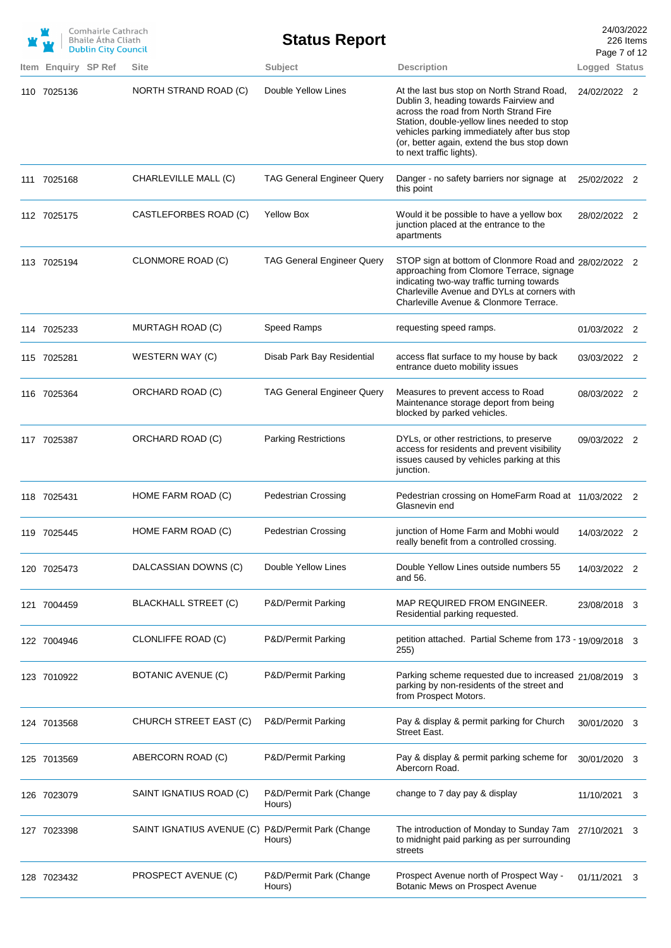|                     | Comhairle Cathrach<br><b>Bhaile Atha Cliath</b><br><b>Dublin City Council</b> |                                                   | <b>Status Report</b>              |                                                                                                                                                                                                                                                                                                         | 24/03/2022<br>226 Items<br>Page 7 of 12 |  |
|---------------------|-------------------------------------------------------------------------------|---------------------------------------------------|-----------------------------------|---------------------------------------------------------------------------------------------------------------------------------------------------------------------------------------------------------------------------------------------------------------------------------------------------------|-----------------------------------------|--|
| Item Enquiry SP Ref |                                                                               | <b>Site</b>                                       | Subject                           | <b>Description</b>                                                                                                                                                                                                                                                                                      | Logged Status                           |  |
| 110 7025136         |                                                                               | NORTH STRAND ROAD (C)                             | Double Yellow Lines               | At the last bus stop on North Strand Road,<br>Dublin 3, heading towards Fairview and<br>across the road from North Strand Fire<br>Station, double-yellow lines needed to stop<br>vehicles parking immediately after bus stop<br>(or, better again, extend the bus stop down<br>to next traffic lights). | 24/02/2022 2                            |  |
| 111 7025168         |                                                                               | CHARLEVILLE MALL (C)                              | <b>TAG General Engineer Query</b> | Danger - no safety barriers nor signage at<br>this point                                                                                                                                                                                                                                                | 25/02/2022 2                            |  |
| 112 7025175         |                                                                               | CASTLEFORBES ROAD (C)                             | <b>Yellow Box</b>                 | Would it be possible to have a yellow box<br>junction placed at the entrance to the<br>apartments                                                                                                                                                                                                       | 28/02/2022 2                            |  |
| 113 7025194         |                                                                               | CLONMORE ROAD (C)                                 | <b>TAG General Engineer Query</b> | STOP sign at bottom of Clonmore Road and 28/02/2022 2<br>approaching from Clomore Terrace, signage<br>indicating two-way traffic turning towards<br>Charleville Avenue and DYLs at corners with<br>Charleville Avenue & Clonmore Terrace.                                                               |                                         |  |
| 114 7025233         |                                                                               | MURTAGH ROAD (C)                                  | Speed Ramps                       | requesting speed ramps.                                                                                                                                                                                                                                                                                 | 01/03/2022 2                            |  |
| 115 7025281         |                                                                               | WESTERN WAY (C)                                   | Disab Park Bay Residential        | access flat surface to my house by back<br>entrance dueto mobility issues                                                                                                                                                                                                                               | 03/03/2022 2                            |  |
| 116 7025364         |                                                                               | ORCHARD ROAD (C)                                  | <b>TAG General Engineer Query</b> | Measures to prevent access to Road<br>Maintenance storage deport from being<br>blocked by parked vehicles.                                                                                                                                                                                              | 08/03/2022 2                            |  |
| 117 7025387         |                                                                               | ORCHARD ROAD (C)                                  | <b>Parking Restrictions</b>       | DYLs, or other restrictions, to preserve<br>access for residents and prevent visibility<br>issues caused by vehicles parking at this<br>junction.                                                                                                                                                       | 09/03/2022 2                            |  |
| 118 7025431         |                                                                               | HOME FARM ROAD (C)                                | <b>Pedestrian Crossing</b>        | Pedestrian crossing on HomeFarm Road at 11/03/2022 2<br>Glasnevin end                                                                                                                                                                                                                                   |                                         |  |
| 119 7025445         |                                                                               | HOME FARM ROAD (C)                                | <b>Pedestrian Crossing</b>        | junction of Home Farm and Mobhi would<br>really benefit from a controlled crossing.                                                                                                                                                                                                                     | 14/03/2022 2                            |  |
| 120 7025473         |                                                                               | DALCASSIAN DOWNS (C)                              | Double Yellow Lines               | Double Yellow Lines outside numbers 55<br>and 56.                                                                                                                                                                                                                                                       | 14/03/2022 2                            |  |
| 121 7004459         |                                                                               | <b>BLACKHALL STREET (C)</b>                       | P&D/Permit Parking                | MAP REQUIRED FROM ENGINEER.<br>Residential parking requested.                                                                                                                                                                                                                                           | 23/08/2018 3                            |  |
| 122 7004946         |                                                                               | CLONLIFFE ROAD (C)                                | P&D/Permit Parking                | petition attached. Partial Scheme from 173 - 19/09/2018 3<br>255)                                                                                                                                                                                                                                       |                                         |  |
| 123 7010922         |                                                                               | BOTANIC AVENUE (C)                                | P&D/Permit Parking                | Parking scheme requested due to increased 21/08/2019 3<br>parking by non-residents of the street and<br>from Prospect Motors.                                                                                                                                                                           |                                         |  |
| 124 7013568         |                                                                               | CHURCH STREET EAST (C)                            | P&D/Permit Parking                | Pay & display & permit parking for Church<br>Street East.                                                                                                                                                                                                                                               | 30/01/2020 3                            |  |
| 125 7013569         |                                                                               | ABERCORN ROAD (C)                                 | P&D/Permit Parking                | Pay & display & permit parking scheme for<br>Abercorn Road.                                                                                                                                                                                                                                             | 30/01/2020 3                            |  |
| 126 7023079         |                                                                               | SAINT IGNATIUS ROAD (C)                           | P&D/Permit Park (Change<br>Hours) | change to 7 day pay & display                                                                                                                                                                                                                                                                           | 11/10/2021 3                            |  |
| 127 7023398         |                                                                               | SAINT IGNATIUS AVENUE (C) P&D/Permit Park (Change | Hours)                            | The introduction of Monday to Sunday 7am 27/10/2021 3<br>to midnight paid parking as per surrounding<br>streets                                                                                                                                                                                         |                                         |  |
| 128 7023432         |                                                                               | PROSPECT AVENUE (C)                               | P&D/Permit Park (Change<br>Hours) | Prospect Avenue north of Prospect Way -<br>Botanic Mews on Prospect Avenue                                                                                                                                                                                                                              | 01/11/2021 3                            |  |
|                     |                                                                               |                                                   |                                   |                                                                                                                                                                                                                                                                                                         |                                         |  |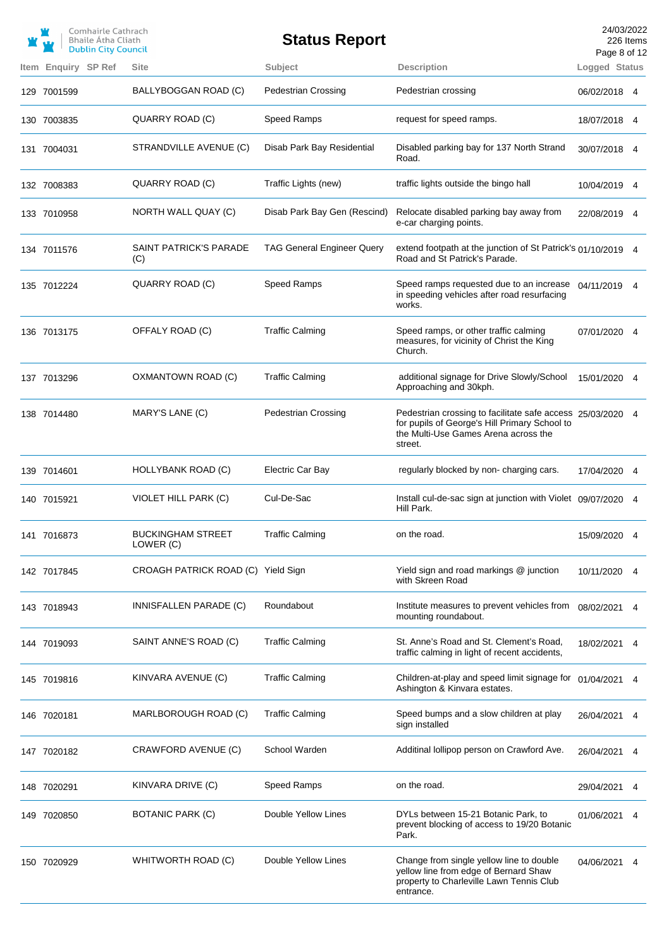|                            | Comhairle Cathrach<br>Bhaile Átha Cliath<br><b>Dublin City Council</b> |                                       | <b>Status Report</b>              |                                                                                                                                                              | 24/03/2022<br>226 Items<br>Page 8 of 12 |   |
|----------------------------|------------------------------------------------------------------------|---------------------------------------|-----------------------------------|--------------------------------------------------------------------------------------------------------------------------------------------------------------|-----------------------------------------|---|
| <b>Item Enguiry SP Ref</b> |                                                                        | <b>Site</b>                           | Subject                           | <b>Description</b>                                                                                                                                           | Logged Status                           |   |
| 129 7001599                |                                                                        | BALLYBOGGAN ROAD (C)                  | <b>Pedestrian Crossing</b>        | Pedestrian crossing                                                                                                                                          | 06/02/2018 4                            |   |
| 130 7003835                |                                                                        | QUARRY ROAD (C)                       | Speed Ramps                       | request for speed ramps.                                                                                                                                     | 18/07/2018 4                            |   |
| 131 7004031                |                                                                        | STRANDVILLE AVENUE (C)                | Disab Park Bay Residential        | Disabled parking bay for 137 North Strand<br>Road.                                                                                                           | 30/07/2018 4                            |   |
| 132 7008383                |                                                                        | QUARRY ROAD (C)                       | Traffic Lights (new)              | traffic lights outside the bingo hall                                                                                                                        | 10/04/2019 4                            |   |
| 133 7010958                |                                                                        | NORTH WALL QUAY (C)                   | Disab Park Bay Gen (Rescind)      | Relocate disabled parking bay away from<br>e-car charging points.                                                                                            | 22/08/2019 4                            |   |
| 134 7011576                |                                                                        | <b>SAINT PATRICK'S PARADE</b><br>(C)  | <b>TAG General Engineer Query</b> | extend footpath at the junction of St Patrick's $01/10/2019$ 4<br>Road and St Patrick's Parade.                                                              |                                         |   |
| 135 7012224                |                                                                        | QUARRY ROAD (C)                       | Speed Ramps                       | Speed ramps requested due to an increase 04/11/2019 4<br>in speeding vehicles after road resurfacing<br>works.                                               |                                         |   |
| 136 7013175                |                                                                        | OFFALY ROAD (C)                       | <b>Traffic Calming</b>            | Speed ramps, or other traffic calming<br>measures, for vicinity of Christ the King<br>Church.                                                                | 07/01/2020 4                            |   |
| 137 7013296                |                                                                        | OXMANTOWN ROAD (C)                    | <b>Traffic Calming</b>            | additional signage for Drive Slowly/School<br>Approaching and 30kph.                                                                                         | 15/01/2020                              | 4 |
| 138 7014480                |                                                                        | MARY'S LANE (C)                       | <b>Pedestrian Crossing</b>        | Pedestrian crossing to facilitate safe access 25/03/2020<br>for pupils of George's Hill Primary School to<br>the Multi-Use Games Arena across the<br>street. |                                         | 4 |
| 139 7014601                |                                                                        | HOLLYBANK ROAD (C)                    | <b>Electric Car Bay</b>           | regularly blocked by non-charging cars.                                                                                                                      | 17/04/2020                              | 4 |
| 140 7015921                |                                                                        | VIOLET HILL PARK (C)                  | Cul-De-Sac                        | Install cul-de-sac sign at junction with Violet 09/07/2020<br>Hill Park.                                                                                     |                                         | 4 |
| 141 7016873                |                                                                        | <b>BUCKINGHAM STREET</b><br>LOWER (C) | <b>Traffic Calming</b>            | on the road.                                                                                                                                                 | 15/09/2020 4                            |   |
| 142 7017845                |                                                                        | CROAGH PATRICK ROAD (C) Yield Sign    |                                   | Yield sign and road markings @ junction<br>with Skreen Road                                                                                                  | 10/11/2020                              | 4 |
| 143 7018943                |                                                                        | INNISFALLEN PARADE (C)                | Roundabout                        | Institute measures to prevent vehicles from<br>mounting roundabout.                                                                                          | 08/02/2021                              |   |
| 144 7019093                |                                                                        | SAINT ANNE'S ROAD (C)                 | <b>Traffic Calming</b>            | St. Anne's Road and St. Clement's Road.<br>traffic calming in light of recent accidents,                                                                     | 18/02/2021                              | 4 |
| 145 7019816                |                                                                        | KINVARA AVENUE (C)                    | <b>Traffic Calming</b>            | Children-at-play and speed limit signage for 01/04/2021<br>Ashington & Kinvara estates.                                                                      |                                         | 4 |
| 146 7020181                |                                                                        | MARLBOROUGH ROAD (C)                  | <b>Traffic Calming</b>            | Speed bumps and a slow children at play<br>sign installed                                                                                                    | 26/04/2021                              |   |
| 147 7020182                |                                                                        | CRAWFORD AVENUE (C)                   | School Warden                     | Additinal lollipop person on Crawford Ave.                                                                                                                   | 26/04/2021                              |   |
| 148 7020291                |                                                                        | KINVARA DRIVE (C)                     | Speed Ramps                       | on the road.                                                                                                                                                 | 29/04/2021                              | 4 |
| 149 7020850                |                                                                        | BOTANIC PARK (C)                      | Double Yellow Lines               | DYLs between 15-21 Botanic Park, to<br>prevent blocking of access to 19/20 Botanic<br>Park.                                                                  | 01/06/2021                              | 4 |
| 150 7020929                |                                                                        | WHITWORTH ROAD (C)                    | Double Yellow Lines               | Change from single yellow line to double<br>yellow line from edge of Bernard Shaw<br>property to Charleville Lawn Tennis Club<br>entrance.                   | 04/06/2021                              | 4 |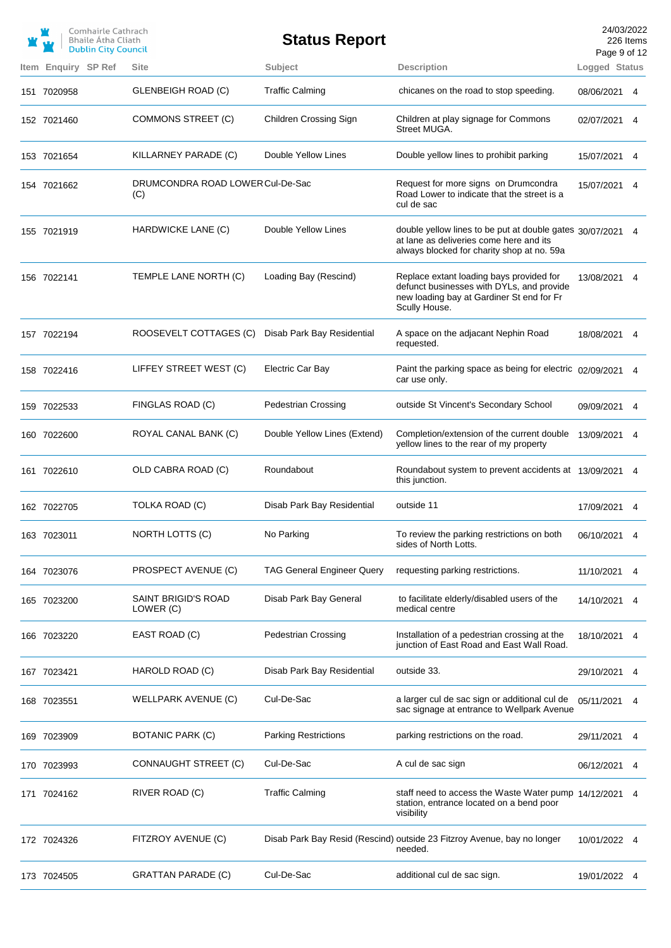|                     | Comhairle Cathrach<br>Bhaile Átha Cliath<br><b>Dublin City Council</b> |                                         | <b>Status Report</b>              |                                                                                                                                                     | 24/03/2022<br>Page 9 of 12 | 226 Items |
|---------------------|------------------------------------------------------------------------|-----------------------------------------|-----------------------------------|-----------------------------------------------------------------------------------------------------------------------------------------------------|----------------------------|-----------|
| Item Enquiry SP Ref |                                                                        | <b>Site</b>                             | Subject                           | <b>Description</b>                                                                                                                                  | Logged Status              |           |
| 151 7020958         |                                                                        | <b>GLENBEIGH ROAD (C)</b>               | <b>Traffic Calming</b>            | chicanes on the road to stop speeding.                                                                                                              | 08/06/2021                 | 4         |
| 152 7021460         |                                                                        | COMMONS STREET (C)                      | Children Crossing Sign            | Children at play signage for Commons<br>Street MUGA.                                                                                                | 02/07/2021                 | 4         |
| 153 7021654         |                                                                        | KILLARNEY PARADE (C)                    | Double Yellow Lines               | Double yellow lines to prohibit parking                                                                                                             | 15/07/2021                 | 4         |
| 154 7021662         |                                                                        | DRUMCONDRA ROAD LOWER Cul-De-Sac<br>(C) |                                   | Request for more signs on Drumcondra<br>Road Lower to indicate that the street is a<br>cul de sac                                                   | 15/07/2021                 | 4         |
| 155 7021919         |                                                                        | HARDWICKE LANE (C)                      | Double Yellow Lines               | double yellow lines to be put at double gates 30/07/2021 4<br>at lane as deliveries come here and its<br>always blocked for charity shop at no. 59a |                            |           |
| 156 7022141         |                                                                        | TEMPLE LANE NORTH (C)                   | Loading Bay (Rescind)             | Replace extant loading bays provided for<br>defunct businesses with DYLs, and provide<br>new loading bay at Gardiner St end for Fr<br>Scully House. | 13/08/2021                 | 4         |
| 157 7022194         |                                                                        | ROOSEVELT COTTAGES (C)                  | Disab Park Bay Residential        | A space on the adjacant Nephin Road<br>requested.                                                                                                   | 18/08/2021                 | 4         |
| 158 7022416         |                                                                        | LIFFEY STREET WEST (C)                  | <b>Electric Car Bay</b>           | Paint the parking space as being for electric 02/09/2021<br>car use only.                                                                           |                            | 4         |
| 159 7022533         |                                                                        | FINGLAS ROAD (C)                        | Pedestrian Crossing               | outside St Vincent's Secondary School                                                                                                               | 09/09/2021                 | 4         |
| 160 7022600         |                                                                        | ROYAL CANAL BANK (C)                    | Double Yellow Lines (Extend)      | Completion/extension of the current double<br>yellow lines to the rear of my property                                                               | 13/09/2021                 | 4         |
| 161 7022610         |                                                                        | OLD CABRA ROAD (C)                      | Roundabout                        | Roundabout system to prevent accidents at 13/09/2021<br>this junction.                                                                              |                            | 4         |
| 162 7022705         |                                                                        | TOLKA ROAD (C)                          | Disab Park Bay Residential        | outside 11                                                                                                                                          | 17/09/2021                 | 4         |
| 163 7023011         |                                                                        | NORTH LOTTS (C)                         | No Parking                        | To review the parking restrictions on both<br>sides of North Lotts.                                                                                 | 06/10/2021 4               |           |
| 164 7023076         |                                                                        | PROSPECT AVENUE (C)                     | <b>TAG General Engineer Query</b> | requesting parking restrictions.                                                                                                                    | 11/10/2021                 | 4         |
| 165 7023200         |                                                                        | SAINT BRIGID'S ROAD<br>LOWER (C)        | Disab Park Bay General            | to facilitate elderly/disabled users of the<br>medical centre                                                                                       | 14/10/2021                 | 4         |
| 166 7023220         |                                                                        | EAST ROAD (C)                           | <b>Pedestrian Crossing</b>        | Installation of a pedestrian crossing at the<br>junction of East Road and East Wall Road.                                                           | 18/10/2021                 |           |
| 167 7023421         |                                                                        | HAROLD ROAD (C)                         | Disab Park Bay Residential        | outside 33.                                                                                                                                         | 29/10/2021                 | 4         |
| 168 7023551         |                                                                        | WELLPARK AVENUE (C)                     | Cul-De-Sac                        | a larger cul de sac sign or additional cul de<br>sac signage at entrance to Wellpark Avenue                                                         | 05/11/2021                 | 4         |
| 169 7023909         |                                                                        | BOTANIC PARK (C)                        | <b>Parking Restrictions</b>       | parking restrictions on the road.                                                                                                                   | 29/11/2021                 | 4         |
| 170 7023993         |                                                                        | CONNAUGHT STREET (C)                    | Cul-De-Sac                        | A cul de sac sign                                                                                                                                   | 06/12/2021                 | 4         |
| 171 7024162         |                                                                        | RIVER ROAD (C)                          | <b>Traffic Calming</b>            | staff need to access the Waste Water pump 14/12/2021<br>station, entrance located on a bend poor<br>visibility                                      |                            | 4         |
| 172 7024326         |                                                                        | FITZROY AVENUE (C)                      |                                   | Disab Park Bay Resid (Rescind) outside 23 Fitzroy Avenue, bay no longer<br>needed.                                                                  | 10/01/2022 4               |           |
| 173 7024505         |                                                                        | <b>GRATTAN PARADE (C)</b>               | Cul-De-Sac                        | additional cul de sac sign.                                                                                                                         | 19/01/2022 4               |           |
|                     |                                                                        |                                         |                                   |                                                                                                                                                     |                            |           |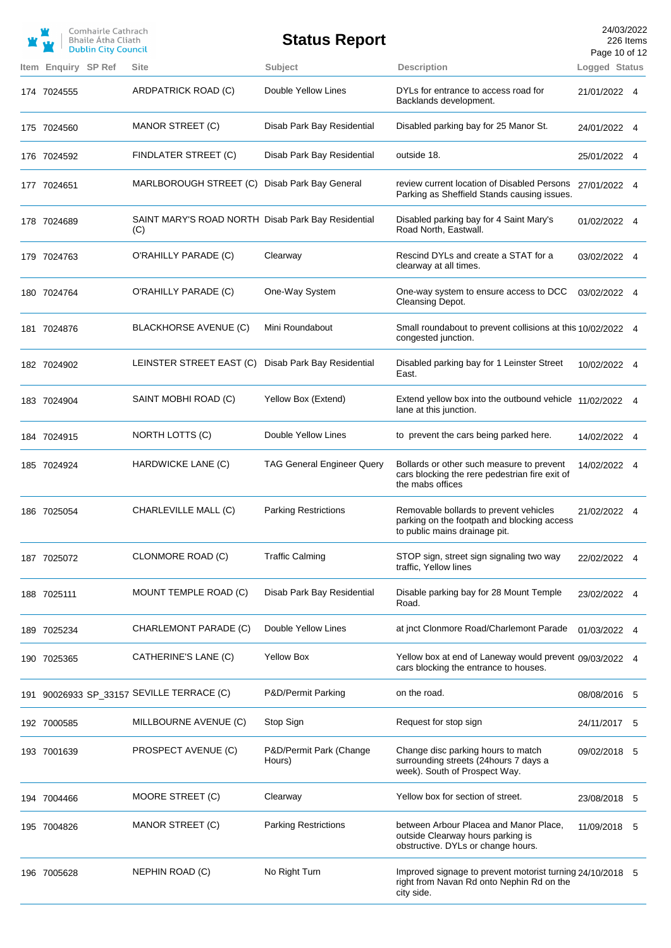|                     | Comhairle Cathrach<br><b>Bhaile Átha Cliath</b><br><b>Dublin City Council</b> |                                                           | <b>Status Report</b>              |                                                                                                                        | 24/03/2022<br>Page 10 of 12 | 226 Items |
|---------------------|-------------------------------------------------------------------------------|-----------------------------------------------------------|-----------------------------------|------------------------------------------------------------------------------------------------------------------------|-----------------------------|-----------|
| Item Enquiry SP Ref |                                                                               | <b>Site</b>                                               | Subject                           | <b>Description</b>                                                                                                     | Logged Status               |           |
| 174 7024555         |                                                                               | ARDPATRICK ROAD (C)                                       | Double Yellow Lines               | DYLs for entrance to access road for<br>Backlands development.                                                         | 21/01/2022 4                |           |
| 175 7024560         |                                                                               | MANOR STREET (C)                                          | Disab Park Bay Residential        | Disabled parking bay for 25 Manor St.                                                                                  | 24/01/2022 4                |           |
| 176 7024592         |                                                                               | FINDLATER STREET (C)                                      | Disab Park Bay Residential        | outside 18.                                                                                                            | 25/01/2022 4                |           |
| 177 7024651         |                                                                               | MARLBOROUGH STREET (C) Disab Park Bay General             |                                   | review current location of Disabled Persons<br>Parking as Sheffield Stands causing issues.                             | 27/01/2022 4                |           |
| 178 7024689         |                                                                               | SAINT MARY'S ROAD NORTH Disab Park Bay Residential<br>(C) |                                   | Disabled parking bay for 4 Saint Mary's<br>Road North, Eastwall.                                                       | 01/02/2022 4                |           |
| 179 7024763         |                                                                               | O'RAHILLY PARADE (C)                                      | Clearway                          | Rescind DYLs and create a STAT for a<br>clearway at all times.                                                         | 03/02/2022 4                |           |
| 180 7024764         |                                                                               | O'RAHILLY PARADE (C)                                      | One-Way System                    | One-way system to ensure access to DCC<br>Cleansing Depot.                                                             | 03/02/2022 4                |           |
| 181 7024876         |                                                                               | <b>BLACKHORSE AVENUE (C)</b>                              | Mini Roundabout                   | Small roundabout to prevent collisions at this 10/02/2022 4<br>congested junction.                                     |                             |           |
| 182 7024902         |                                                                               | LEINSTER STREET EAST (C)                                  | Disab Park Bay Residential        | Disabled parking bay for 1 Leinster Street<br>East.                                                                    | 10/02/2022 4                |           |
| 183 7024904         |                                                                               | SAINT MOBHI ROAD (C)                                      | Yellow Box (Extend)               | Extend yellow box into the outbound vehicle 11/02/2022 4<br>lane at this junction.                                     |                             |           |
| 184 7024915         |                                                                               | NORTH LOTTS (C)                                           | Double Yellow Lines               | to prevent the cars being parked here.                                                                                 | 14/02/2022 4                |           |
| 185 7024924         |                                                                               | HARDWICKE LANE (C)                                        | <b>TAG General Engineer Query</b> | Bollards or other such measure to prevent<br>cars blocking the rere pedestrian fire exit of<br>the mabs offices        | 14/02/2022 4                |           |
| 186 7025054         |                                                                               | CHARLEVILLE MALL (C)                                      | <b>Parking Restrictions</b>       | Removable bollards to prevent vehicles<br>parking on the footpath and blocking access<br>to public mains drainage pit. | 21/02/2022 4                |           |
| 187 7025072         |                                                                               | CLONMORE ROAD (C)                                         | <b>Traffic Calming</b>            | STOP sign, street sign signaling two way<br>traffic, Yellow lines                                                      | 22/02/2022 4                |           |
| 188 7025111         |                                                                               | MOUNT TEMPLE ROAD (C)                                     | Disab Park Bay Residential        | Disable parking bay for 28 Mount Temple<br>Road.                                                                       | 23/02/2022 4                |           |
| 189 7025234         |                                                                               | CHARLEMONT PARADE (C)                                     | Double Yellow Lines               | at jnct Clonmore Road/Charlemont Parade                                                                                | 01/03/2022 4                |           |
| 190 7025365         |                                                                               | CATHERINE'S LANE (C)                                      | <b>Yellow Box</b>                 | Yellow box at end of Laneway would prevent 09/03/2022 4<br>cars blocking the entrance to houses.                       |                             |           |
|                     |                                                                               | 191 90026933 SP_33157 SEVILLE TERRACE (C)                 | P&D/Permit Parking                | on the road.                                                                                                           | 08/08/2016 5                |           |
| 192 7000585         |                                                                               | MILLBOURNE AVENUE (C)                                     | Stop Sign                         | Request for stop sign                                                                                                  | 24/11/2017 5                |           |
| 193 7001639         |                                                                               | PROSPECT AVENUE (C)                                       | P&D/Permit Park (Change<br>Hours) | Change disc parking hours to match<br>surrounding streets (24hours 7 days a<br>week). South of Prospect Way.           | 09/02/2018 5                |           |
| 194 7004466         |                                                                               | MOORE STREET (C)                                          | Clearway                          | Yellow box for section of street.                                                                                      | 23/08/2018 5                |           |
| 195 7004826         |                                                                               | MANOR STREET (C)                                          | <b>Parking Restrictions</b>       | between Arbour Placea and Manor Place,<br>outside Clearway hours parking is<br>obstructive. DYLs or change hours.      | 11/09/2018                  | 5         |
| 196 7005628         |                                                                               | NEPHIN ROAD (C)                                           | No Right Turn                     | Improved signage to prevent motorist turning 24/10/2018 5<br>right from Navan Rd onto Nephin Rd on the<br>city side.   |                             |           |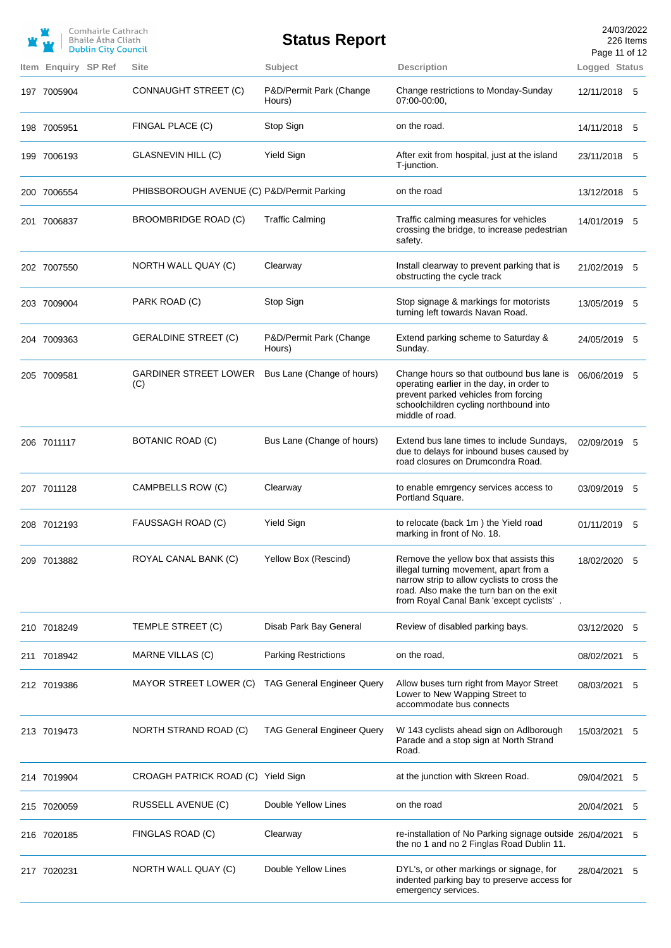|                            | Comhairle Cathrach<br>Bhaile Átha Cliath<br><b>Dublin City Council</b> |                                            | <b>Status Report</b>              |                                                                                                                                                                                                                          | 24/03/2022<br>Page 11 of 12 | 226 Items |
|----------------------------|------------------------------------------------------------------------|--------------------------------------------|-----------------------------------|--------------------------------------------------------------------------------------------------------------------------------------------------------------------------------------------------------------------------|-----------------------------|-----------|
| <b>Item Enguiry SP Ref</b> |                                                                        | <b>Site</b>                                | Subject                           | <b>Description</b>                                                                                                                                                                                                       | Logged Status               |           |
| 197 7005904                |                                                                        | CONNAUGHT STREET (C)                       | P&D/Permit Park (Change<br>Hours) | Change restrictions to Monday-Sunday<br>07:00-00:00,                                                                                                                                                                     | 12/11/2018 5                |           |
| 198 7005951                |                                                                        | FINGAL PLACE (C)                           | Stop Sign                         | on the road.                                                                                                                                                                                                             | 14/11/2018 5                |           |
| 199 7006193                |                                                                        | GLASNEVIN HILL (C)                         | <b>Yield Sign</b>                 | After exit from hospital, just at the island<br>T-junction.                                                                                                                                                              | 23/11/2018 5                |           |
| 200 7006554                |                                                                        | PHIBSBOROUGH AVENUE (C) P&D/Permit Parking |                                   | on the road                                                                                                                                                                                                              | 13/12/2018 5                |           |
| 201 7006837                |                                                                        | BROOMBRIDGE ROAD (C)                       | <b>Traffic Calming</b>            | Traffic calming measures for vehicles<br>crossing the bridge, to increase pedestrian<br>safety.                                                                                                                          | 14/01/2019 5                |           |
| 202 7007550                |                                                                        | NORTH WALL QUAY (C)                        | Clearway                          | Install clearway to prevent parking that is<br>obstructing the cycle track                                                                                                                                               | 21/02/2019 5                |           |
| 203 7009004                |                                                                        | PARK ROAD (C)                              | Stop Sign                         | Stop signage & markings for motorists<br>turning left towards Navan Road.                                                                                                                                                | 13/05/2019 5                |           |
| 204 7009363                |                                                                        | <b>GERALDINE STREET (C)</b>                | P&D/Permit Park (Change<br>Hours) | Extend parking scheme to Saturday &<br>Sunday.                                                                                                                                                                           | 24/05/2019 5                |           |
| 205 7009581                |                                                                        | GARDINER STREET LOWER<br>(C)               | Bus Lane (Change of hours)        | Change hours so that outbound bus lane is<br>operating earlier in the day, in order to<br>prevent parked vehicles from forcing<br>schoolchildren cycling northbound into<br>middle of road.                              | 06/06/2019 5                |           |
| 206 7011117                |                                                                        | BOTANIC ROAD (C)                           | Bus Lane (Change of hours)        | Extend bus lane times to include Sundays,<br>due to delays for inbound buses caused by<br>road closures on Drumcondra Road.                                                                                              | 02/09/2019 5                |           |
| 207 7011128                |                                                                        | CAMPBELLS ROW (C)                          | Clearway                          | to enable emrgency services access to<br>Portland Square.                                                                                                                                                                | 03/09/2019 5                |           |
| 208 7012193                |                                                                        | FAUSSAGH ROAD (C)                          | <b>Yield Sign</b>                 | to relocate (back 1m) the Yield road<br>marking in front of No. 18.                                                                                                                                                      | 01/11/2019 5                |           |
| 209 7013882                |                                                                        | ROYAL CANAL BANK (C)                       | Yellow Box (Rescind)              | Remove the yellow box that assists this<br>illegal turning movement, apart from a<br>narrow strip to allow cyclists to cross the<br>road. Also make the turn ban on the exit<br>from Royal Canal Bank 'except cyclists'. | 18/02/2020 5                |           |
| 210 7018249                |                                                                        | TEMPLE STREET (C)                          | Disab Park Bay General            | Review of disabled parking bays.                                                                                                                                                                                         | 03/12/2020 5                |           |
| 211 7018942                |                                                                        | MARNE VILLAS (C)                           | <b>Parking Restrictions</b>       | on the road,                                                                                                                                                                                                             | 08/02/2021                  | 5         |
| 212 7019386                |                                                                        | MAYOR STREET LOWER (C)                     | <b>TAG General Engineer Query</b> | Allow buses turn right from Mayor Street<br>Lower to New Wapping Street to<br>accommodate bus connects                                                                                                                   | 08/03/2021                  | 5         |
| 213 7019473                |                                                                        | NORTH STRAND ROAD (C)                      | <b>TAG General Engineer Query</b> | W 143 cyclists ahead sign on Adlborough<br>Parade and a stop sign at North Strand<br>Road.                                                                                                                               | 15/03/2021                  | 5         |
| 214 7019904                |                                                                        | CROAGH PATRICK ROAD (C) Yield Sign         |                                   | at the junction with Skreen Road.                                                                                                                                                                                        | 09/04/2021                  | 5         |
| 215 7020059                |                                                                        | RUSSELL AVENUE (C)                         | Double Yellow Lines               | on the road                                                                                                                                                                                                              | 20/04/2021                  | 5         |
| 216 7020185                |                                                                        | FINGLAS ROAD (C)                           | Clearway                          | re-installation of No Parking signage outside 26/04/2021<br>the no 1 and no 2 Finglas Road Dublin 11.                                                                                                                    |                             | 5         |
| 217 7020231                |                                                                        | NORTH WALL QUAY (C)                        | Double Yellow Lines               | DYL's, or other markings or signage, for<br>indented parking bay to preserve access for<br>emergency services.                                                                                                           | 28/04/2021                  | 5         |